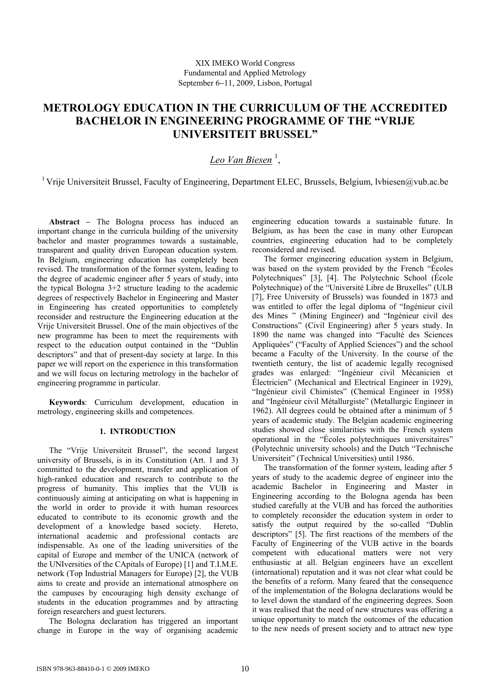# **METROLOGY EDUCATION IN THE CURRICULUM OF THE ACCREDITED BACHELOR IN ENGINEERING PROGRAMME OF THE "VRIJE UNIVERSITEIT BRUSSEL"**

# *Leo Van Biesen* <sup>1</sup> ,

<sup>1</sup> Vrije Universiteit Brussel, Faculty of Engineering, Department ELEC, Brussels, Belgium, lybiesen@vub.ac.be

**Abstract** − The Bologna process has induced an important change in the curricula building of the university bachelor and master programmes towards a sustainable, transparent and quality driven European education system. In Belgium, engineering education has completely been revised. The transformation of the former system, leading to the degree of academic engineer after 5 years of study, into the typical Bologna 3+2 structure leading to the academic degrees of respectively Bachelor in Engineering and Master in Engineering has created opportunities to completely reconsider and restructure the Engineering education at the Vrije Universiteit Brussel. One of the main objectives of the new programme has been to meet the requirements with respect to the education output contained in the "Dublin descriptors" and that of present-day society at large. In this paper we will report on the experience in this transformation and we will focus on lecturing metrology in the bachelor of engineering programme in particular.

**Keywords**: Curriculum development, education in metrology, engineering skills and competences.

## **1. INTRODUCTION**

The "Vrije Universiteit Brussel", the second largest university of Brussels, is in its Constitution (Art. 1 and 3) committed to the development, transfer and application of high-ranked education and research to contribute to the progress of humanity. This implies that the VUB is continuously aiming at anticipating on what is happening in the world in order to provide it with human resources educated to contribute to its economic growth and the development of a knowledge based society. Hereto, international academic and professional contacts are indispensable. As one of the leading universities of the capital of Europe and member of the UNICA (network of the UNIversities of the CApitals of Europe) [1] and T.I.M.E. network (Top Industrial Managers for Europe) [2], the VUB aims to create and provide an international atmosphere on the campuses by encouraging high density exchange of students in the education programmes and by attracting foreign researchers and guest lecturers.

The Bologna declaration has triggered an important change in Europe in the way of organising academic

engineering education towards a sustainable future. In Belgium, as has been the case in many other European countries, engineering education had to be completely reconsidered and revised.

The former engineering education system in Belgium, was based on the system provided by the French "Écoles Polytechniques" [3], [4]. The Polytechnic School (École Polytechnique) of the "Université Libre de Bruxelles" (ULB [7], Free University of Brussels) was founded in 1873 and was entitled to offer the legal diploma of "Ingénieur civil des Mines " (Mining Engineer) and "Ingénieur civil des Constructions" (Civil Engineering) after 5 years study. In 1890 the name was changed into "Faculté des Sciences Appliquées" ("Faculty of Applied Sciences") and the school became a Faculty of the University. In the course of the twentieth century, the list of academic legally recognised grades was enlarged: "Ingénieur civil Mécanicien et Électricien" (Mechanical and Electrical Engineer in 1929), "Ingénieur civil Chimistes" (Chemical Engineer in 1958) and "Ingénieur civil Métallurgiste" (Metallurgic Engineer in 1962). All degrees could be obtained after a minimum of 5 years of academic study. The Belgian academic engineering studies showed close similarities with the French system operational in the "Écoles polytechniques universitaires" (Polytechnic university schools) and the Dutch "Technische Universiteit" (Technical Universities) until 1986.

The transformation of the former system, leading after 5 years of study to the academic degree of engineer into the academic Bachelor in Engineering and Master in Engineering according to the Bologna agenda has been studied carefully at the VUB and has forced the authorities to completely reconsider the education system in order to satisfy the output required by the so-called "Dublin descriptors" [5]. The first reactions of the members of the Faculty of Engineering of the VUB active in the boards competent with educational matters were not very enthusiastic at all. Belgian engineers have an excellent (international) reputation and it was not clear what could be the benefits of a reform. Many feared that the consequence of the implementation of the Bologna declarations would be to level down the standard of the engineering degrees. Soon it was realised that the need of new structures was offering a unique opportunity to match the outcomes of the education to the new needs of present society and to attract new type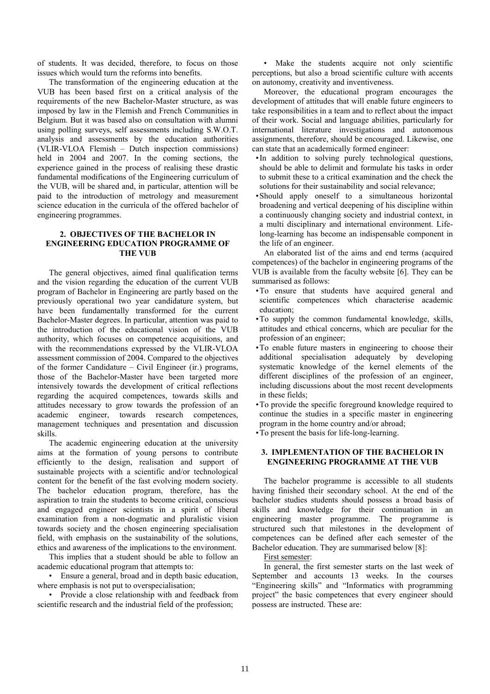of students. It was decided, therefore, to focus on those issues which would turn the reforms into benefits.

The transformation of the engineering education at the VUB has been based first on a critical analysis of the requirements of the new Bachelor-Master structure, as was imposed by law in the Flemish and French Communities in Belgium. But it was based also on consultation with alumni using polling surveys, self assessments including S.W.O.T. analysis and assessments by the education authorities (VLIR-VLOA Flemish – Dutch inspection commissions) held in 2004 and 2007. In the coming sections, the experience gained in the process of realising these drastic fundamental modifications of the Engineering curriculum of the VUB, will be shared and, in particular, attention will be paid to the introduction of metrology and measurement science education in the curricula of the offered bachelor of engineering programmes.

#### **2. OBJECTIVES OF THE BACHELOR IN ENGINEERING EDUCATION PROGRAMME OF THE VUB**

The general objectives, aimed final qualification terms and the vision regarding the education of the current VUB program of Bachelor in Engineering are partly based on the previously operational two year candidature system, but have been fundamentally transformed for the current Bachelor-Master degrees. In particular, attention was paid to the introduction of the educational vision of the VUB authority, which focuses on competence acquisitions, and with the recommendations expressed by the VLIR-VLOA assessment commission of 2004. Compared to the objectives of the former Candidature – Civil Engineer (ir.) programs, those of the Bachelor-Master have been targeted more intensively towards the development of critical reflections regarding the acquired competences, towards skills and attitudes necessary to grow towards the profession of an academic engineer, towards research competences, management techniques and presentation and discussion skills.

The academic engineering education at the university aims at the formation of young persons to contribute efficiently to the design, realisation and support of sustainable projects with a scientific and/or technological content for the benefit of the fast evolving modern society. The bachelor education program, therefore, has the aspiration to train the students to become critical, conscious and engaged engineer scientists in a spirit of liberal examination from a non-dogmatic and pluralistic vision towards society and the chosen engineering specialisation field, with emphasis on the sustainability of the solutions, ethics and awareness of the implications to the environment.

This implies that a student should be able to follow an academic educational program that attempts to:

• Ensure a general, broad and in depth basic education, where emphasis is not put to overspecialisation;

• Provide a close relationship with and feedback from scientific research and the industrial field of the profession;

• Make the students acquire not only scientific perceptions, but also a broad scientific culture with accents on autonomy, creativity and inventiveness.

Moreover, the educational program encourages the development of attitudes that will enable future engineers to take responsibilities in a team and to reflect about the impact of their work. Social and language abilities, particularly for international literature investigations and autonomous assignments, therefore, should be encouraged. Likewise, one can state that an academically formed engineer:

- In addition to solving purely technological questions, should be able to delimit and formulate his tasks in order to submit these to a critical examination and the check the solutions for their sustainability and social relevance;
- Should apply oneself to a simultaneous horizontal broadening and vertical deepening of his discipline within a continuously changing society and industrial context, in a multi disciplinary and international environment. Lifelong-learning has become an indispensable component in the life of an engineer.

An elaborated list of the aims and end terms (acquired competences) of the bachelor in engineering programs of the VUB is available from the faculty website [6]. They can be summarised as follows:

- To ensure that students have acquired general and scientific competences which characterise academic education;
- To supply the common fundamental knowledge, skills, attitudes and ethical concerns, which are peculiar for the profession of an engineer;
- To enable future masters in engineering to choose their additional specialisation adequately by developing systematic knowledge of the kernel elements of the different disciplines of the profession of an engineer, including discussions about the most recent developments in these fields;
- To provide the specific foreground knowledge required to continue the studies in a specific master in engineering program in the home country and/or abroad;
- To present the basis for life-long-learning.

## **3. IMPLEMENTATION OF THE BACHELOR IN ENGINEERING PROGRAMME AT THE VUB**

The bachelor programme is accessible to all students having finished their secondary school. At the end of the bachelor studies students should possess a broad basis of skills and knowledge for their continuation in an engineering master programme. The programme is structured such that milestones in the development of competences can be defined after each semester of the Bachelor education. They are summarised below [8]:

First semester:

In general, the first semester starts on the last week of September and accounts 13 weeks. In the courses "Engineering skills" and "Informatics with programming project" the basic competences that every engineer should possess are instructed. These are: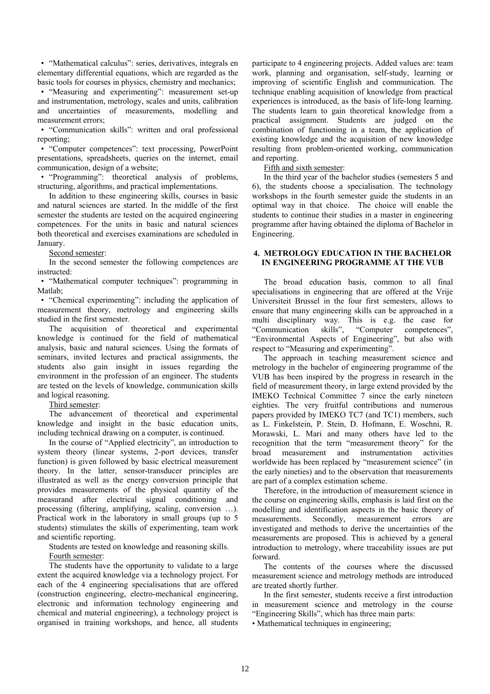• "Mathematical calculus": series, derivatives, integrals en elementary differential equations, which are regarded as the basic tools for courses in physics, chemistry and mechanics;

• "Measuring and experimenting": measurement set-up and instrumentation, metrology, scales and units, calibration and uncertainties of measurements, modelling and measurement errors;

• "Communication skills": written and oral professional reporting;

• "Computer competences": text processing, PowerPoint presentations, spreadsheets, queries on the internet, email communication, design of a website;

• "Programming": theoretical analysis of problems, structuring, algorithms, and practical implementations.

In addition to these engineering skills, courses in basic and natural sciences are started. In the middle of the first semester the students are tested on the acquired engineering competences. For the units in basic and natural sciences both theoretical and exercises examinations are scheduled in January.

Second semester:

In the second semester the following competences are instructed:

• "Mathematical computer techniques": programming in Matlab;

• "Chemical experimenting": including the application of measurement theory, metrology and engineering skills studied in the first semester.

The acquisition of theoretical and experimental knowledge is continued for the field of mathematical analysis, basic and natural sciences. Using the formats of seminars, invited lectures and practical assignments, the students also gain insight in issues regarding the environment in the profession of an engineer. The students are tested on the levels of knowledge, communication skills and logical reasoning.

## Third semester:

The advancement of theoretical and experimental knowledge and insight in the basic education units, including technical drawing on a computer, is continued.

In the course of "Applied electricity", an introduction to system theory (linear systems, 2-port devices, transfer function) is given followed by basic electrical measurement theory. In the latter, sensor-transducer principles are illustrated as well as the energy conversion principle that provides measurements of the physical quantity of the measurand after electrical signal conditioning and processing (filtering, amplifying, scaling, conversion …). Practical work in the laboratory in small groups (up to 5 students) stimulates the skills of experimenting, team work and scientific reporting.

Students are tested on knowledge and reasoning skills.

Fourth semester:

The students have the opportunity to validate to a large extent the acquired knowledge via a technology project. For each of the 4 engineering specialisations that are offered (construction engineering, electro-mechanical engineering, electronic and information technology engineering and chemical and material engineering), a technology project is organised in training workshops, and hence, all students

participate to 4 engineering projects. Added values are: team work, planning and organisation, self-study, learning or improving of scientific English and communication. The technique enabling acquisition of knowledge from practical experiences is introduced, as the basis of life-long learning. The students learn to gain theoretical knowledge from a practical assignment. Students are judged on the combination of functioning in a team, the application of existing knowledge and the acquisition of new knowledge resulting from problem-oriented working, communication and reporting.

Fifth and sixth semester:

In the third year of the bachelor studies (semesters 5 and 6), the students choose a specialisation. The technology workshops in the fourth semester guide the students in an optimal way in that choice. The choice will enable the students to continue their studies in a master in engineering programme after having obtained the diploma of Bachelor in Engineering.

## **4. METROLOGY EDUCATION IN THE BACHELOR IN ENGINEERING PROGRAMME AT THE VUB**

The broad education basis, common to all final specialisations in engineering that are offered at the Vrije Universiteit Brussel in the four first semesters, allows to ensure that many engineering skills can be approached in a multi disciplinary way. This is e.g. the case for "Communication skills", "Computer competences", "Environmental Aspects of Engineering", but also with respect to "Measuring and experimenting".

The approach in teaching measurement science and metrology in the bachelor of engineering programme of the VUB has been inspired by the progress in research in the field of measurement theory, in large extend provided by the IMEKO Technical Committee 7 since the early nineteen eighties. The very fruitful contributions and numerous papers provided by IMEKO TC7 (and TC1) members, such as L. Finkelstein, P. Stein, D. Hofmann, E. Woschni, R. Morawski, L. Mari and many others have led to the recognition that the term "measurement theory" for the broad measurement and instrumentation activities worldwide has been replaced by "measurement science" (in the early nineties) and to the observation that measurements are part of a complex estimation scheme.

Therefore, in the introduction of measurement science in the course on engineering skills, emphasis is laid first on the modelling and identification aspects in the basic theory of measurements. Secondly, measurement errors are investigated and methods to derive the uncertainties of the measurements are proposed. This is achieved by a general introduction to metrology, where traceability issues are put forward.

The contents of the courses where the discussed measurement science and metrology methods are introduced are treated shortly further.

In the first semester, students receive a first introduction in measurement science and metrology in the course "Engineering Skills", which has three main parts:

• Mathematical techniques in engineering;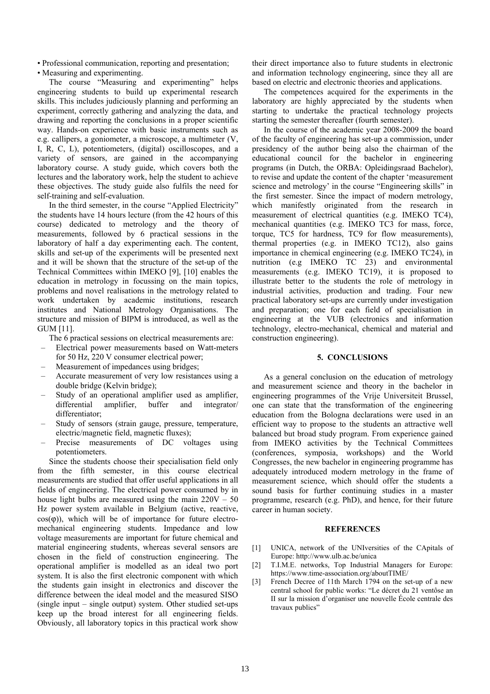• Professional communication, reporting and presentation;

• Measuring and experimenting. The course "Measuring and experimenting" helps engineering students to build up experimental research skills. This includes judiciously planning and performing an experiment, correctly gathering and analyzing the data, and drawing and reporting the conclusions in a proper scientific way. Hands-on experience with basic instruments such as e.g. callipers, a goniometer, a microscope, a multimeter (V, I, R, C, L), potentiometers, (digital) oscilloscopes, and a variety of sensors, are gained in the accompanying laboratory course. A study guide, which covers both the lectures and the laboratory work, help the student to achieve these objectives. The study guide also fulfils the need for self-training and self-evaluation.

In the third semester, in the course "Applied Electricity" the students have 14 hours lecture (from the 42 hours of this course) dedicated to metrology and the theory of measurements, followed by 6 practical sessions in the laboratory of half a day experimenting each. The content, skills and set-up of the experiments will be presented next and it will be shown that the structure of the set-up of the Technical Committees within IMEKO [9], [10] enables the education in metrology in focussing on the main topics, problems and novel realisations in the metrology related to work undertaken by academic institutions, research institutes and National Metrology Organisations. The structure and mission of BIPM is introduced, as well as the GUM [11].

The 6 practical sessions on electrical measurements are:

- Electrical power measurements based on Watt-meters for 50 Hz, 220 V consumer electrical power;
- Measurement of impedances using bridges;
- Accurate measurement of very low resistances using a double bridge (Kelvin bridge);
- Study of an operational amplifier used as amplifier, differential amplifier, buffer and integrator/ differentiator;
- Study of sensors (strain gauge, pressure, temperature, electric/magnetic field, magnetic fluxes);
- Precise measurements of DC voltages using potentiometers.

Since the students choose their specialisation field only from the fifth semester, in this course electrical measurements are studied that offer useful applications in all fields of engineering. The electrical power consumed by in house light bulbs are measured using the main  $220V - 50$ Hz power system available in Belgium (active, reactive,  $cos(\phi)$ , which will be of importance for future electromechanical engineering students. Impedance and low voltage measurements are important for future chemical and material engineering students, whereas several sensors are chosen in the field of construction engineering. The operational amplifier is modelled as an ideal two port system. It is also the first electronic component with which the students gain insight in electronics and discover the difference between the ideal model and the measured SISO (single input – single output) system. Other studied set-ups keep up the broad interest for all engineering fields. Obviously, all laboratory topics in this practical work show

their direct importance also to future students in electronic and information technology engineering, since they all are based on electric and electronic theories and applications.

The competences acquired for the experiments in the laboratory are highly appreciated by the students when starting to undertake the practical technology projects starting the semester thereafter (fourth semester).

In the course of the academic year 2008-2009 the board of the faculty of engineering has set-up a commission, under presidency of the author being also the chairman of the educational council for the bachelor in engineering programs (in Dutch, the ORBA: Opleidingsraad Bachelor), to revise and update the content of the chapter 'measurement science and metrology' in the course "Engineering skills" in the first semester. Since the impact of modern metrology, which manifestly originated from the research in measurement of electrical quantities (e.g. IMEKO TC4), mechanical quantities (e.g. IMEKO TC3 for mass, force, torque, TC5 for hardness, TC9 for flow measurements), thermal properties (e.g. in IMEKO TC12), also gains importance in chemical engineering (e.g. IMEKO TC24), in nutrition (e.g IMEKO TC 23) and environmental measurements (e.g. IMEKO TC19), it is proposed to illustrate better to the students the role of metrology in industrial activities, production and trading. Four new practical laboratory set-ups are currently under investigation and preparation; one for each field of specialisation in engineering at the VUB (electronics and information technology, electro-mechanical, chemical and material and construction engineering).

#### **5. CONCLUSIONS**

As a general conclusion on the education of metrology and measurement science and theory in the bachelor in engineering programmes of the Vrije Universiteit Brussel, one can state that the transformation of the engineering education from the Bologna declarations were used in an efficient way to propose to the students an attractive well balanced but broad study program. From experience gained from IMEKO activities by the Technical Committees (conferences, symposia, workshops) and the World Congresses, the new bachelor in engineering programme has adequately introduced modern metrology in the frame of measurement science, which should offer the students a sound basis for further continuing studies in a master programme, research (e.g. PhD), and hence, for their future career in human society.

#### **REFERENCES**

- [1] UNICA, network of the UNIversities of the CApitals of Europe: http://www.ulb.ac.be/unica
- [2] T.I.M.E. networks, Top Industrial Managers for Europe: https://www.time-association.org/aboutTIME/
- [3] French Decree of 11th March 1794 on the set-up of a new central school for public works: "Le décret du 21 ventôse an II sur la mission d'organiser une nouvelle École centrale des travaux publics"